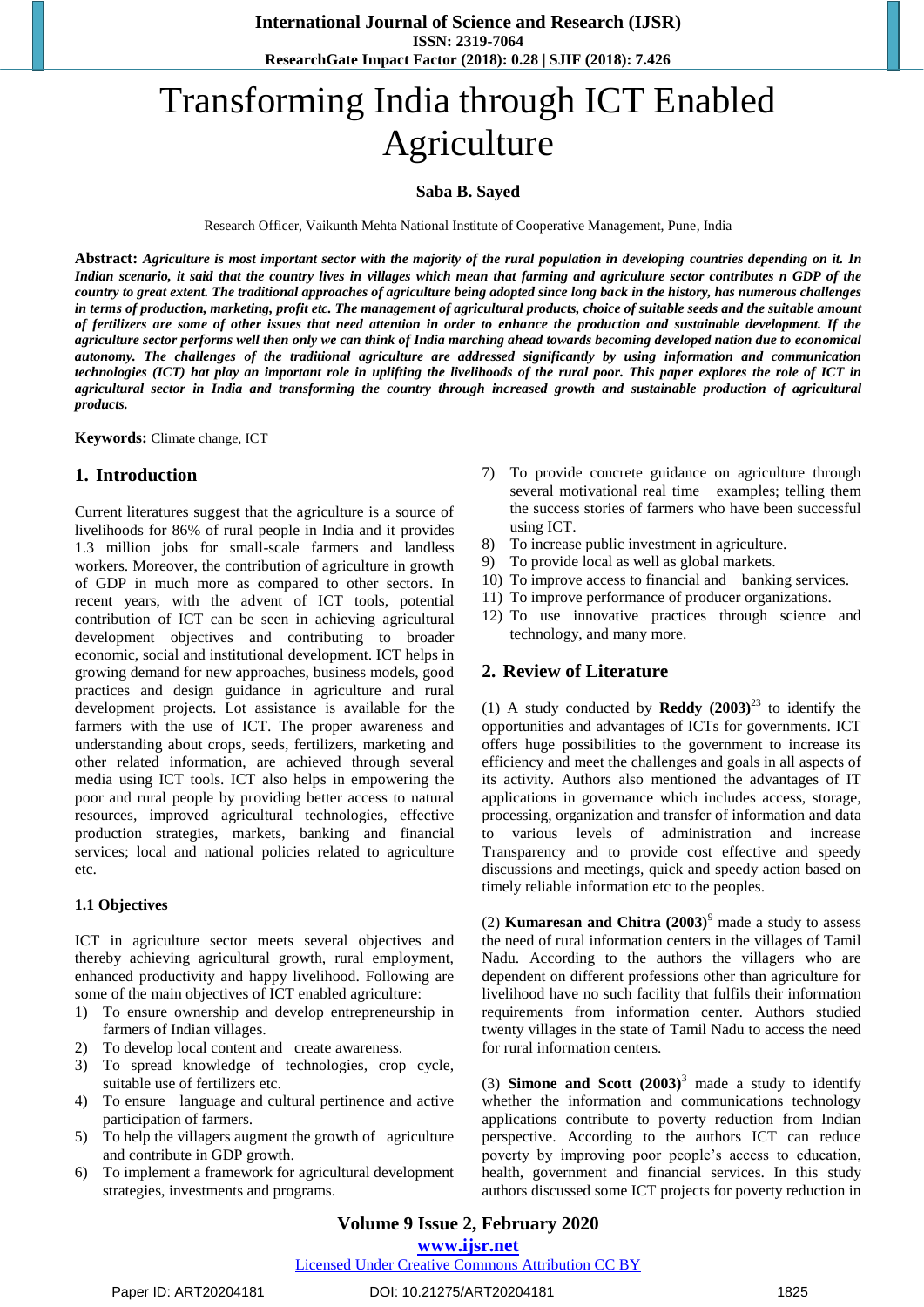# Transforming India through ICT Enabled Agriculture

#### **Saba B. Sayed**

Research Officer, Vaikunth Mehta National Institute of Cooperative Management, Pune, India

**Abstract:** *Agriculture is most important sector with the majority of the rural population in developing countries depending on it. In Indian scenario, it said that the country lives in villages which mean that farming and agriculture sector contributes n GDP of the country to great extent. The traditional approaches of agriculture being adopted since long back in the history, has numerous challenges in terms of production, marketing, profit etc. The management of agricultural products, choice of suitable seeds and the suitable amount of fertilizers are some of other issues that need attention in order to enhance the production and sustainable development. If the agriculture sector performs well then only we can think of India marching ahead towards becoming developed nation due to economical autonomy. The challenges of the traditional agriculture are addressed significantly by using information and communication technologies (ICT) hat play an important role in uplifting the livelihoods of the rural poor. This paper explores the role of ICT in agricultural sector in India and transforming the country through increased growth and sustainable production of agricultural products.*

**Keywords:** Climate change, ICT

#### **1. Introduction**

Current literatures suggest that the agriculture is a source of livelihoods for 86% of rural people in India and it provides 1.3 million jobs for small-scale farmers and landless workers. Moreover, the contribution of agriculture in growth of GDP in much more as compared to other sectors. In recent years, with the advent of ICT tools, potential contribution of ICT can be seen in achieving agricultural development objectives and contributing to broader economic, social and institutional development. ICT helps in growing demand for new approaches, business models, good practices and design guidance in agriculture and rural development projects. Lot assistance is available for the farmers with the use of ICT. The proper awareness and understanding about crops, seeds, fertilizers, marketing and other related information, are achieved through several media using ICT tools. ICT also helps in empowering the poor and rural people by providing better access to natural resources, improved agricultural technologies, effective production strategies, markets, banking and financial services; local and national policies related to agriculture etc.

#### **1.1 Objectives**

ICT in agriculture sector meets several objectives and thereby achieving agricultural growth, rural employment, enhanced productivity and happy livelihood. Following are some of the main objectives of ICT enabled agriculture:

- 1) To ensure ownership and develop entrepreneurship in farmers of Indian villages.
- 2) To develop local content and create awareness.
- 3) To spread knowledge of technologies, crop cycle, suitable use of fertilizers etc.
- 4) To ensure language and cultural pertinence and active participation of farmers.
- 5) To help the villagers augment the growth of agriculture and contribute in GDP growth.
- 6) To implement a framework for agricultural development strategies, investments and programs.
- 7) To provide concrete guidance on agriculture through several motivational real time examples; telling them the success stories of farmers who have been successful using ICT.
- 8) To increase public investment in agriculture.
- 9) To provide local as well as global markets.
- 10) To improve access to financial and banking services.
- 11) To improve performance of producer organizations.
- 12) To use innovative practices through science and technology, and many more.

#### **2. Review of Literature**

(1) A study conducted by **Reddy**  $(2003)^{23}$  to identify the opportunities and advantages of ICTs for governments. ICT offers huge possibilities to the government to increase its efficiency and meet the challenges and goals in all aspects of its activity. Authors also mentioned the advantages of IT applications in governance which includes access, storage, processing, organization and transfer of information and data to various levels of administration and increase Transparency and to provide cost effective and speedy discussions and meetings, quick and speedy action based on timely reliable information etc to the peoples.

(2) **Kumaresan and Chitra**  $(2003)^9$  made a study to assess the need of rural information centers in the villages of Tamil Nadu. According to the authors the villagers who are dependent on different professions other than agriculture for livelihood have no such facility that fulfils their information requirements from information center. Authors studied twenty villages in the state of Tamil Nadu to access the need for rural information centers.

(3) **Simone and Scott (2003)**<sup>3</sup> made a study to identify whether the information and communications technology applications contribute to poverty reduction from Indian perspective. According to the authors ICT can reduce poverty by improving poor people's access to education, health, government and financial services. In this study authors discussed some ICT projects for poverty reduction in

#### Licensed Under Creative Commons Attribution CC BY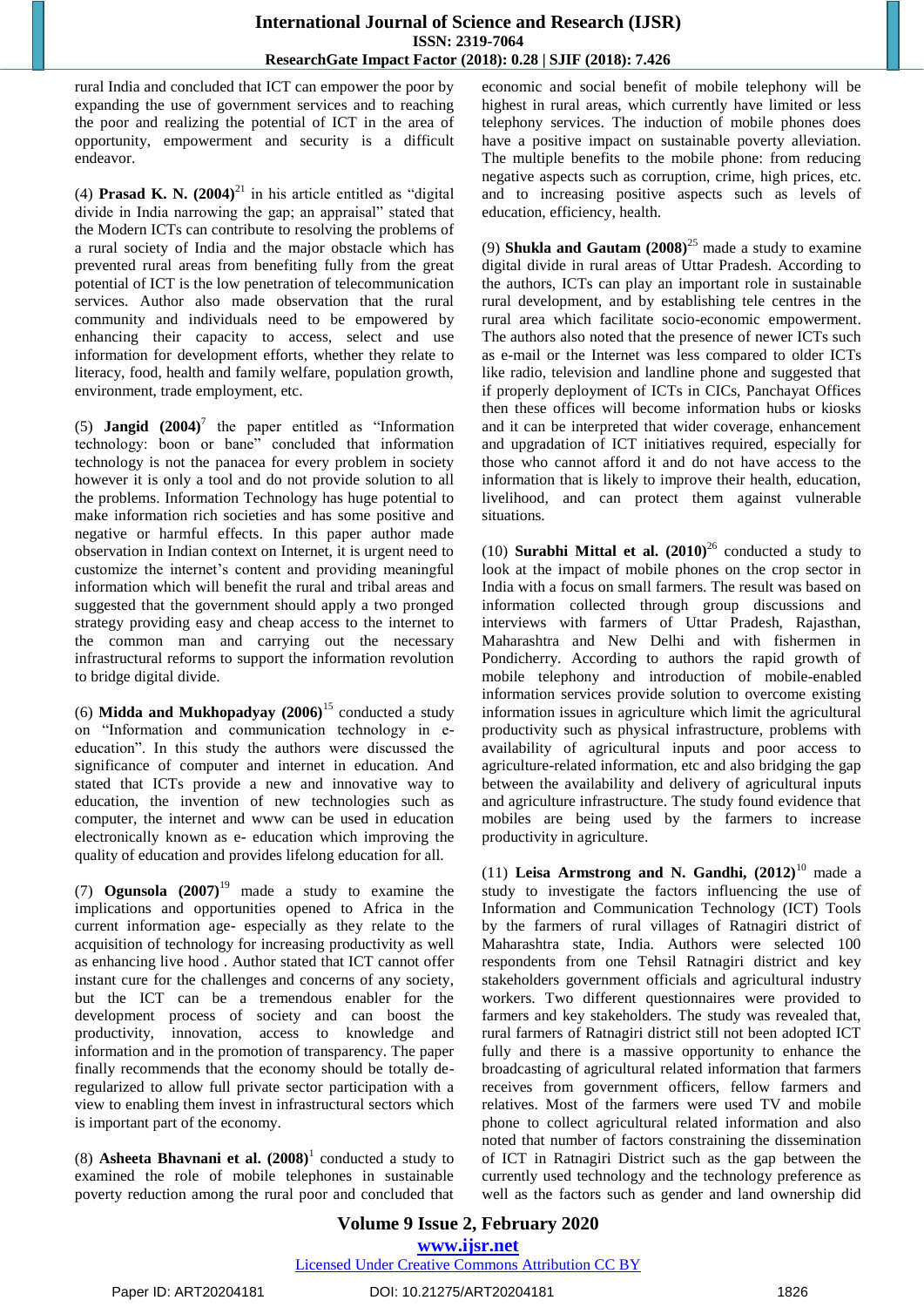#### **International Journal of Science and Research (IJSR) ISSN: 2319-7064 ResearchGate Impact Factor (2018): 0.28 | SJIF (2018): 7.426**

rural India and concluded that ICT can empower the poor by expanding the use of government services and to reaching the poor and realizing the potential of ICT in the area of opportunity, empowerment and security is a difficult endeavor.

(4) **Prasad K. N.**  $(2004)^{21}$  in his article entitled as "digital" divide in India narrowing the gap; an appraisal" stated that the Modern ICTs can contribute to resolving the problems of a rural society of India and the major obstacle which has prevented rural areas from benefiting fully from the great potential of ICT is the low penetration of telecommunication services. Author also made observation that the rural community and individuals need to be empowered by enhancing their capacity to access, select and use information for development efforts, whether they relate to literacy, food, health and family welfare, population growth, environment, trade employment, etc.

(5) **Jangid**  $(2004)^7$  the paper entitled as "Information technology: boon or bane" concluded that information technology is not the panacea for every problem in society however it is only a tool and do not provide solution to all the problems. Information Technology has huge potential to make information rich societies and has some positive and negative or harmful effects. In this paper author made observation in Indian context on Internet, it is urgent need to customize the internet's content and providing meaningful information which will benefit the rural and tribal areas and suggested that the government should apply a two pronged strategy providing easy and cheap access to the internet to the common man and carrying out the necessary infrastructural reforms to support the information revolution to bridge digital divide.

(6) **Midda and Mukhopadyay (2006)**<sup>15</sup> conducted a study on "Information and communication technology in eeducation". In this study the authors were discussed the significance of computer and internet in education. And stated that ICTs provide a new and innovative way to education, the invention of new technologies such as computer, the internet and www can be used in education electronically known as e- education which improving the quality of education and provides lifelong education for all.

(7) **Ogunsola (2007)**<sup>19</sup> made a study to examine the implications and opportunities opened to Africa in the current information age- especially as they relate to the acquisition of technology for increasing productivity as well as enhancing live hood . Author stated that ICT cannot offer instant cure for the challenges and concerns of any society, but the ICT can be a tremendous enabler for the development process of society and can boost the productivity, innovation, access to knowledge and information and in the promotion of transparency. The paper finally recommends that the economy should be totally deregularized to allow full private sector participation with a view to enabling them invest in infrastructural sectors which is important part of the economy.

(8) **Asheeta Bhavnani et al.**  $(2008)^1$  conducted a study to examined the role of mobile telephones in sustainable poverty reduction among the rural poor and concluded that

economic and social benefit of mobile telephony will be highest in rural areas, which currently have limited or less telephony services. The induction of mobile phones does have a positive impact on sustainable poverty alleviation. The multiple benefits to the mobile phone: from reducing negative aspects such as corruption, crime, high prices, etc. and to increasing positive aspects such as levels of education, efficiency, health.

(9) **Shukla and Gautam (2008)**<sup>25</sup> made a study to examine digital divide in rural areas of Uttar Pradesh. According to the authors, ICTs can play an important role in sustainable rural development, and by establishing tele centres in the rural area which facilitate socio-economic empowerment. The authors also noted that the presence of newer ICTs such as e-mail or the Internet was less compared to older ICTs like radio, television and landline phone and suggested that if properly deployment of ICTs in CICs, Panchayat Offices then these offices will become information hubs or kiosks and it can be interpreted that wider coverage, enhancement and upgradation of ICT initiatives required, especially for those who cannot afford it and do not have access to the information that is likely to improve their health, education, livelihood, and can protect them against vulnerable situations.

(10) **Surabhi Mittal et al.**  $(2010)^{26}$  conducted a study to look at the impact of mobile phones on the crop sector in India with a focus on small farmers. The result was based on information collected through group discussions and interviews with farmers of Uttar Pradesh, Rajasthan, Maharashtra and New Delhi and with fishermen in Pondicherry. According to authors the rapid growth of mobile telephony and introduction of mobile-enabled information services provide solution to overcome existing information issues in agriculture which limit the agricultural productivity such as physical infrastructure, problems with availability of agricultural inputs and poor access to agriculture-related information, etc and also bridging the gap between the availability and delivery of agricultural inputs and agriculture infrastructure. The study found evidence that mobiles are being used by the farmers to increase productivity in agriculture.

(11) **Leisa Armstrong and N. Gandhi,**  $(2012)^{10}$  made a study to investigate the factors influencing the use of Information and Communication Technology (ICT) Tools by the farmers of rural villages of Ratnagiri district of Maharashtra state, India. Authors were selected 100 respondents from one Tehsil Ratnagiri district and key stakeholders government officials and agricultural industry workers. Two different questionnaires were provided to farmers and key stakeholders. The study was revealed that, rural farmers of Ratnagiri district still not been adopted ICT fully and there is a massive opportunity to enhance the broadcasting of agricultural related information that farmers receives from government officers, fellow farmers and relatives. Most of the farmers were used TV and mobile phone to collect agricultural related information and also noted that number of factors constraining the dissemination of ICT in Ratnagiri District such as the gap between the currently used technology and the technology preference as well as the factors such as gender and land ownership did

#### **Volume 9 Issue 2, February 2020 www.ijsr.net** Licensed Under Creative Commons Attribution CC BY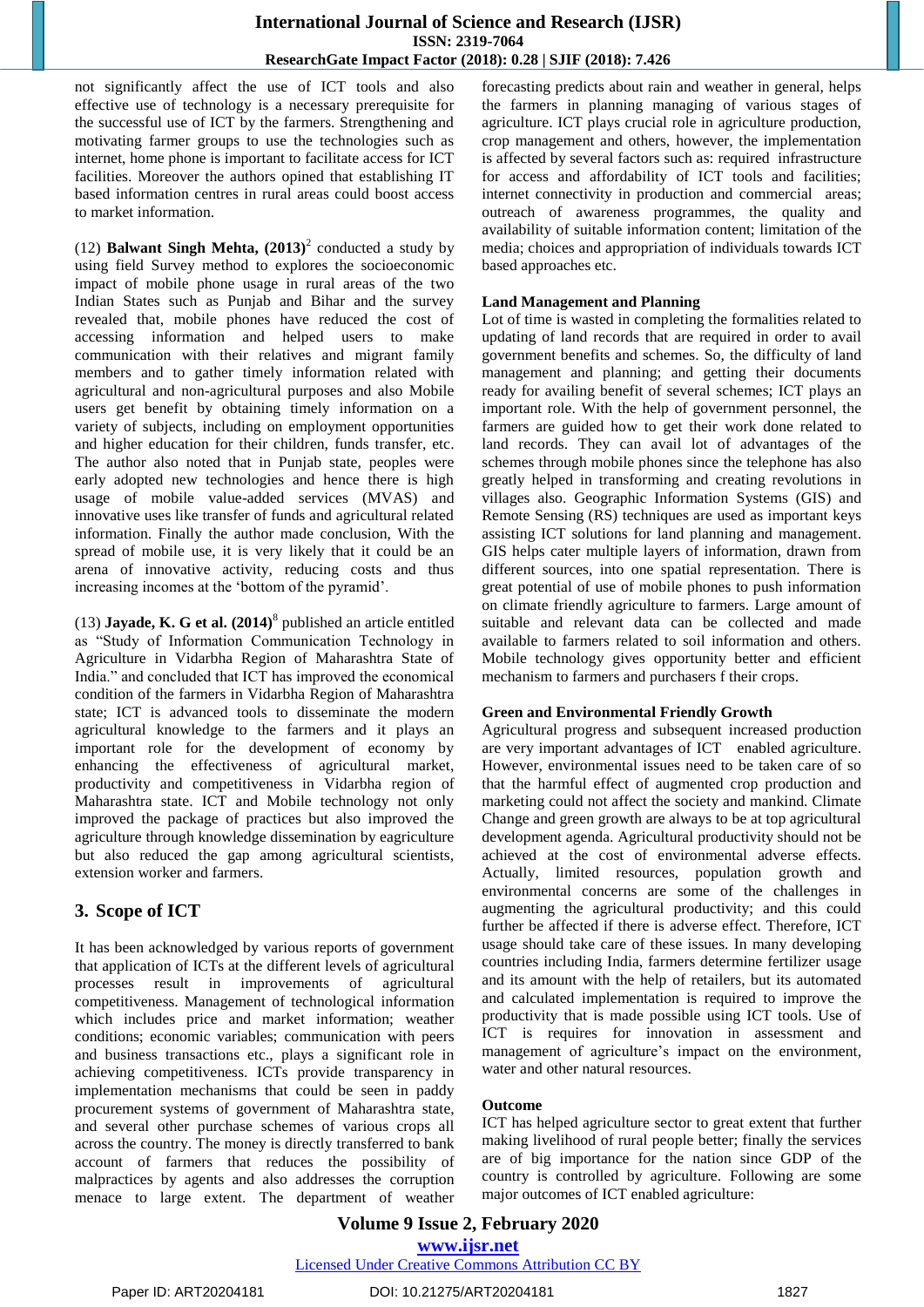not significantly affect the use of ICT tools and also effective use of technology is a necessary prerequisite for the successful use of ICT by the farmers. Strengthening and motivating farmer groups to use the technologies such as internet, home phone is important to facilitate access for ICT facilities. Moreover the authors opined that establishing IT based information centres in rural areas could boost access to market information.

(12) **Balwant Singh Mehta,**  $(2013)^2$  conducted a study by using field Survey method to explores the socioeconomic impact of mobile phone usage in rural areas of the two Indian States such as Punjab and Bihar and the survey revealed that, mobile phones have reduced the cost of accessing information and helped users to make communication with their relatives and migrant family members and to gather timely information related with agricultural and non-agricultural purposes and also Mobile users get benefit by obtaining timely information on a variety of subjects, including on employment opportunities and higher education for their children, funds transfer, etc. The author also noted that in Punjab state, peoples were early adopted new technologies and hence there is high usage of mobile value-added services (MVAS) and innovative uses like transfer of funds and agricultural related information. Finally the author made conclusion, With the spread of mobile use, it is very likely that it could be an arena of innovative activity, reducing costs and thus increasing incomes at the "bottom of the pyramid".

(13) **Jayade, K. G et al. (2014)**<sup>8</sup> published an article entitled as "Study of Information Communication Technology in Agriculture in Vidarbha Region of Maharashtra State of India." and concluded that ICT has improved the economical condition of the farmers in Vidarbha Region of Maharashtra state; ICT is advanced tools to disseminate the modern agricultural knowledge to the farmers and it plays an important role for the development of economy by enhancing the effectiveness of agricultural market, productivity and competitiveness in Vidarbha region of Maharashtra state. ICT and Mobile technology not only improved the package of practices but also improved the agriculture through knowledge dissemination by eagriculture but also reduced the gap among agricultural scientists, extension worker and farmers.

# **3. Scope of ICT**

It has been acknowledged by various reports of government that application of ICTs at the different levels of agricultural processes result in improvements of agricultural competitiveness. Management of technological information which includes price and market information; weather conditions; economic variables; communication with peers and business transactions etc., plays a significant role in achieving competitiveness. ICTs provide transparency in implementation mechanisms that could be seen in paddy procurement systems of government of Maharashtra state, and several other purchase schemes of various crops all across the country. The money is directly transferred to bank account of farmers that reduces the possibility of malpractices by agents and also addresses the corruption menace to large extent. The department of weather forecasting predicts about rain and weather in general, helps the farmers in planning managing of various stages of agriculture. ICT plays crucial role in agriculture production, crop management and others, however, the implementation is affected by several factors such as: required infrastructure for access and affordability of ICT tools and facilities; internet connectivity in production and commercial areas; outreach of awareness programmes, the quality and availability of suitable information content; limitation of the media; choices and appropriation of individuals towards ICT based approaches etc.

#### **Land Management and Planning**

Lot of time is wasted in completing the formalities related to updating of land records that are required in order to avail government benefits and schemes. So, the difficulty of land management and planning; and getting their documents ready for availing benefit of several schemes; ICT plays an important role. With the help of government personnel, the farmers are guided how to get their work done related to land records. They can avail lot of advantages of the schemes through mobile phones since the telephone has also greatly helped in transforming and creating revolutions in villages also. Geographic Information Systems (GIS) and Remote Sensing (RS) techniques are used as important keys assisting ICT solutions for land planning and management. GIS helps cater multiple layers of information, drawn from different sources, into one spatial representation. There is great potential of use of mobile phones to push information on climate friendly agriculture to farmers. Large amount of suitable and relevant data can be collected and made available to farmers related to soil information and others. Mobile technology gives opportunity better and efficient mechanism to farmers and purchasers f their crops.

#### **Green and Environmental Friendly Growth**

Agricultural progress and subsequent increased production are very important advantages of ICT enabled agriculture. However, environmental issues need to be taken care of so that the harmful effect of augmented crop production and marketing could not affect the society and mankind. Climate Change and green growth are always to be at top agricultural development agenda. Agricultural productivity should not be achieved at the cost of environmental adverse effects. Actually, limited resources, population growth and environmental concerns are some of the challenges in augmenting the agricultural productivity; and this could further be affected if there is adverse effect. Therefore, ICT usage should take care of these issues. In many developing countries including India, farmers determine fertilizer usage and its amount with the help of retailers, but its automated and calculated implementation is required to improve the productivity that is made possible using ICT tools. Use of ICT is requires for innovation in assessment and management of agriculture's impact on the environment, water and other natural resources.

#### **Outcome**

ICT has helped agriculture sector to great extent that further making livelihood of rural people better; finally the services are of big importance for the nation since GDP of the country is controlled by agriculture. Following are some major outcomes of ICT enabled agriculture:

#### **Volume 9 Issue 2, February 2020 www.ijsr.net** Licensed Under Creative Commons Attribution CC BY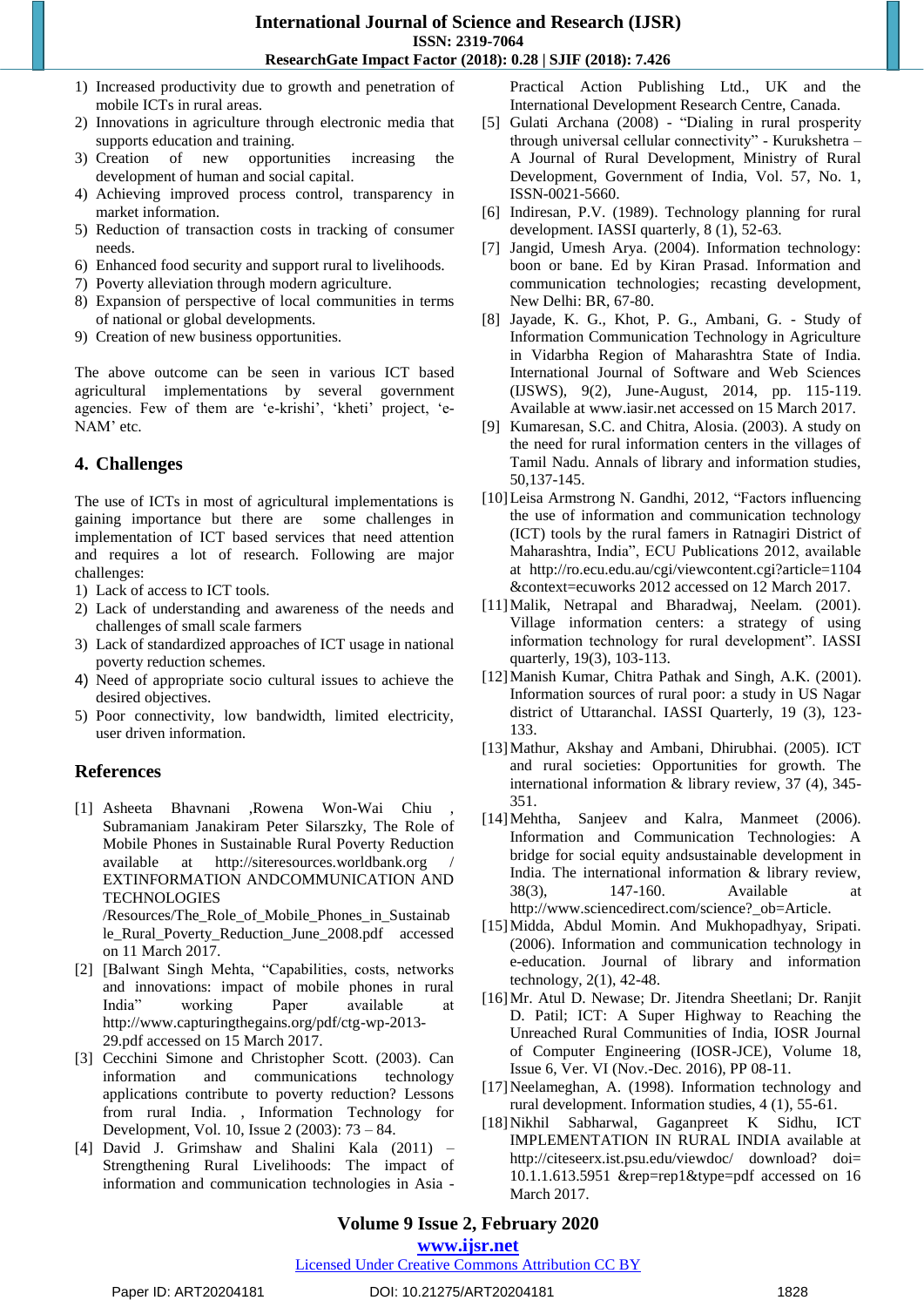- 1) Increased productivity due to growth and penetration of mobile ICTs in rural areas.
- 2) Innovations in agriculture through electronic media that supports education and training.
- 3) Creation of new opportunities increasing the development of human and social capital.
- 4) Achieving improved process control, transparency in market information.
- 5) Reduction of transaction costs in tracking of consumer needs.
- 6) Enhanced food security and support rural to livelihoods.
- 7) Poverty alleviation through modern agriculture.
- 8) Expansion of perspective of local communities in terms of national or global developments.
- 9) Creation of new business opportunities.

The above outcome can be seen in various ICT based agricultural implementations by several government agencies. Few of them are 'e-krishi', 'kheti' project, 'e-NAM' etc.

## **4. Challenges**

The use of ICTs in most of agricultural implementations is gaining importance but there are some challenges in implementation of ICT based services that need attention and requires a lot of research. Following are major challenges:

- 1) Lack of access to ICT tools.
- 2) Lack of understanding and awareness of the needs and challenges of small scale farmers
- 3) Lack of standardized approaches of ICT usage in national poverty reduction schemes.
- 4) Need of appropriate socio cultural issues to achieve the desired objectives.
- 5) Poor connectivity, low bandwidth, limited electricity, user driven information.

## **References**

- [1] Asheeta Bhavnani ,Rowena Won-Wai Chiu , Subramaniam Janakiram Peter Silarszky, The Role of Mobile Phones in Sustainable Rural Poverty Reduction available at http://siteresources.worldbank.org / EXTINFORMATION ANDCOMMUNICATION AND **TECHNOLOGIES** /Resources/The\_Role\_of\_Mobile\_Phones\_in\_Sustainab le\_Rural\_Poverty\_Reduction\_June\_2008.pdf accessed
- on 11 March 2017. [2] [Balwant Singh Mehta, "Capabilities, costs, networks and innovations: impact of mobile phones in rural India" working Paper available at

http://www.capturingthegains.org/pdf/ctg-wp-2013- 29.pdf accessed on 15 March 2017.

- [3] Cecchini Simone and Christopher Scott. (2003). Can information and communications technology applications contribute to poverty reduction? Lessons from rural India. , Information Technology for Development, Vol. 10, Issue 2 (2003): 73 – 84.
- [4] David J. Grimshaw and Shalini Kala (2011) Strengthening Rural Livelihoods: The impact of information and communication technologies in Asia -

Practical Action Publishing Ltd., UK and the International Development Research Centre, Canada.

- [5] Gulati Archana (2008) "Dialing in rural prosperity through universal cellular connectivity" - Kurukshetra – A Journal of Rural Development, Ministry of Rural Development, Government of India, Vol. 57, No. 1, ISSN-0021-5660.
- [6] Indiresan, P.V. (1989). Technology planning for rural development. IASSI quarterly, 8 (1), 52-63.
- [7] Jangid, Umesh Arya. (2004). Information technology: boon or bane. Ed by Kiran Prasad. Information and communication technologies; recasting development, New Delhi: BR, 67-80.
- [8] Jayade, K. G., Khot, P. G., Ambani, G. Study of Information Communication Technology in Agriculture in Vidarbha Region of Maharashtra State of India. International Journal of Software and Web Sciences (IJSWS), 9(2), June-August, 2014, pp. 115-119. Available at www.iasir.net accessed on 15 March 2017.
- [9] Kumaresan, S.C. and Chitra, Alosia. (2003). A study on the need for rural information centers in the villages of Tamil Nadu. Annals of library and information studies, 50,137-145.
- [10]Leisa Armstrong N. Gandhi, 2012, "Factors influencing the use of information and communication technology (ICT) tools by the rural famers in Ratnagiri District of Maharashtra, India", ECU Publications 2012, available at http://ro.ecu.edu.au/cgi/viewcontent.cgi?article=1104 &context=ecuworks 2012 accessed on 12 March 2017.
- [11] Malik, Netrapal and Bharadwaj, Neelam. (2001). Village information centers: a strategy of using information technology for rural development". IASSI quarterly, 19(3), 103-113.
- [12]Manish Kumar, Chitra Pathak and Singh, A.K. (2001). Information sources of rural poor: a study in US Nagar district of Uttaranchal. IASSI Quarterly, 19 (3), 123- 133.
- [13]Mathur, Akshay and Ambani, Dhirubhai. (2005). ICT and rural societies: Opportunities for growth. The international information & library review, 37 (4), 345- 351.
- [14]Mehtha, Sanjeev and Kalra, Manmeet (2006). Information and Communication Technologies: A bridge for social equity andsustainable development in India. The international information & library review,  $38(3)$ ,  $147-160$ . Available http://www.sciencedirect.com/science?\_ob=Article.
- [15]Midda, Abdul Momin. And Mukhopadhyay, Sripati. (2006). Information and communication technology in e-education. Journal of library and information technology, 2(1), 42-48.
- [16]Mr. Atul D. Newase; Dr. Jitendra Sheetlani; Dr. Ranjit D. Patil; ICT: A Super Highway to Reaching the Unreached Rural Communities of India, IOSR Journal of Computer Engineering (IOSR-JCE), Volume 18, Issue 6, Ver. VI (Nov.-Dec. 2016), PP 08-11.
- [17]Neelameghan, A. (1998). Information technology and rural development. Information studies, 4 (1), 55-61.
- [18]Nikhil Sabharwal, Gaganpreet K Sidhu, ICT IMPLEMENTATION IN RURAL INDIA available at http://citeseerx.ist.psu.edu/viewdoc/ download? doi= 10.1.1.613.5951 &rep=rep1&type=pdf accessed on 16 March 2017.

## **Volume 9 Issue 2, February 2020**

#### **www.ijsr.net**

#### Licensed Under Creative Commons Attribution CC BY